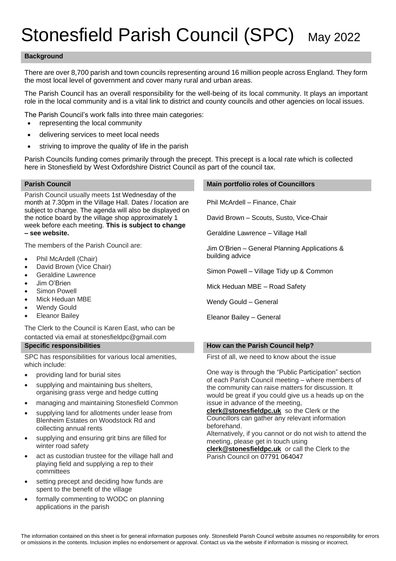# Stonesfield Parish Council (SPC) May 2022

## **Background**

There are over 8,700 parish and town councils representing around 16 million people across England. They form the most local level of government and cover many rural and urban areas.

The Parish Council has an overall responsibility for the well-being of its local community. It plays an important role in the local community and is a vital link to district and county councils and other agencies on local issues.

The Parish Council's work falls into three main categories:

- representing the local community
- delivering services to meet local needs
- striving to improve the quality of life in the parish

Parish Councils funding comes primarily through the precept. This precept is a local rate which is collected here in Stonesfield by West Oxfordshire District Council as part of the council tax.

Parish Council usually meets 1st Wednesday of the month at 7.30pm in the Village Hall. Dates / location are subject to change. The agenda will also be displayed on the notice board by the village shop approximately 1 week before each meeting. **This is subject to change – see website.**

The members of the Parish Council are:

- Phil McArdell (Chair)
- David Brown (Vice Chair)
- Geraldine Lawrence
- Jim O'Brien
- Simon Powell
- Mick Heduan MBE
- Wendy Gould
- **Eleanor Bailey**

The Clerk to the Council is Karen East, who can be contacted via email at stonesfieldpc@gmail.com

SPC has responsibilities for various local amenities, which include:

- providing land for burial sites
- supplying and maintaining bus shelters, organising grass verge and hedge cutting
- managing and maintaining Stonesfield Common
- supplying land for allotments under lease from Blenheim Estates on Woodstock Rd and collecting annual rents
- supplying and ensuring grit bins are filled for winter road safety
- act as custodian trustee for the village hall and playing field and supplying a rep to their committees
- setting precept and deciding how funds are spent to the benefit of the village
- formally commenting to WODC on planning applications in the parish

### **Parish Council Main portfolio roles of Councillors**

Phil McArdell – Finance, Chair

David Brown – Scouts, Susto, Vice-Chair

Geraldine Lawrence – Village Hall

Jim O'Brien – General Planning Applications & building advice

Simon Powell – Village Tidy up & Common

Mick Heduan MBE – Road Safety

Wendy Gould – General

Eleanor Bailey – General

## **Specific responsibilities How can the Parish Council help?**

First of all, we need to know about the issue

One way is through the "Public Participation" section of each Parish Council meeting – where members of the community can raise matters for discussion. It would be great if you could give us a heads up on the issue in advance of the meeting,

**[clerk@stonesfieldpc.uk](mailto:clerk@stonesfieldpc.uk)** so the Clerk or the Councillors can gather any relevant information beforehand.

Alternatively, if you cannot or do not wish to attend the meeting, please get in touch using

**[clerk@stonesfieldpc.uk](mailto:clerk@stonesfieldpc.uk)** or call the Clerk to the Parish Council on 07791 064047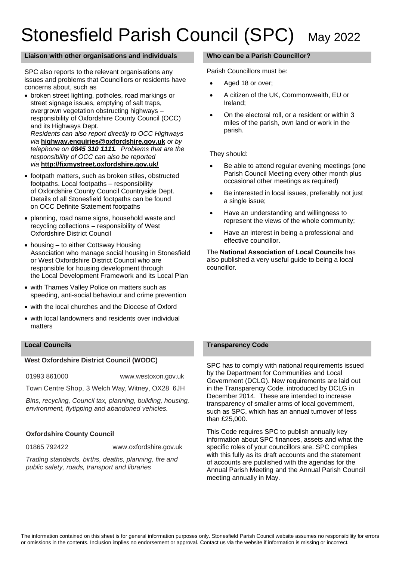# Stonesfield Parish Council (SPC) May 2022

### **Liaison with other organisations and individuals Who can be a Parish Councillor?**

SPC also reports to the relevant organisations any issues and problems that Councillors or residents have concerns about, such as

• broken street lighting, potholes, road markings or street signage issues, emptying of salt traps, overgrown vegetation obstructing highways – responsibility of Oxfordshire County Council (OCC) and its Highways Dept.

*Residents can also report directly to OCC Highways via* **[highway.enquiries@oxfordshire.gov.uk](mailto:highway.enquiries@oxfordshire.gov.uk)** *or by telephone on 0845 310 1111. Problems that are the responsibility of OCC can also be reported via* **<http://fixmystreet.oxfordshire.gov.uk/>**

- footpath matters, such as broken stiles, obstructed footpaths. Local footpaths – responsibility of Oxfordshire County Council Countryside Dept. Details of all Stonesfield footpaths can be found on OCC Definite Statement footpaths
- planning, road name signs, household waste and recycling collections – responsibility of West Oxfordshire District Council
- housing to either Cottsway Housing Association who manage social housing in Stonesfield or West Oxfordshire District Council who are responsible for housing development through the Local Development Framework and its Local Plan
- with Thames Valley Police on matters such as speeding, anti-social behaviour and crime prevention
- with the local churches and the Diocese of Oxford
- with local landowners and residents over individual matters

## **West Oxfordshire District Council (WODC)**

01993 861000 [www.westoxon.gov.uk](http://www.westoxon.gov.uk/)

Town Centre Shop, 3 Welch Way, Witney, OX28 6JH

*Bins, recycling, Council tax, planning, building, housing, environment, flytipping and abandoned vehicles.*

## **Oxfordshire County Council**

01865 792422 www.oxfordshire.gov.uk

*Trading standards, births, deaths, planning, fire and public safety, roads, transport and libraries*

Parish Councillors must be:

- Aged 18 or over;
- A citizen of the UK, Commonwealth, EU or Ireland;
- On the electoral roll, or a resident or within 3 miles of the parish, own land or work in the parish.

They should:

- Be able to attend regular evening meetings (one Parish Council Meeting every other month plus occasional other meetings as required)
- Be interested in local issues, preferably not just a single issue;
- Have an understanding and willingness to represent the views of the whole community;
- Have an interest in being a professional and effective councillor.

The **National Association of Local Councils** has also published a very useful guide to being a local councillor.

### **Local Councils Transparency Code**

SPC has to comply with national requirements issued by the Department for Communities and Local Government (DCLG). New requirements are laid out in the [Transparency Code,](https://drive.google.com/file/d/0B7XsQs6aMk1dSzNnMk55ODk1TTg/view?usp=sharing) introduced by DCLG in December 2014. These are intended to increase transparency of smaller arms of local government, such as SPC, which has an annual turnover of less than £25,000.

This Code requires SPC to publish annually key information about SPC finances, assets and what the specific roles of your councillors are. SPC complies with this fully as its draft accounts and the statement of accounts are published with the agendas for the Annual Parish Meeting and the Annual Parish Council meeting annually in May.